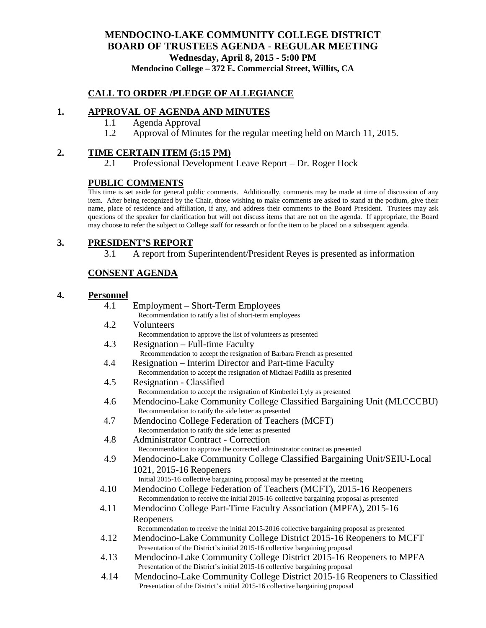## **MENDOCINO-LAKE COMMUNITY COLLEGE DISTRICT BOARD OF TRUSTEES AGENDA** - **REGULAR MEETING Wednesday, April 8, 2015 - 5:00 PM Mendocino College – 372 E. Commercial Street, Willits, CA**

#### **CALL TO ORDER /PLEDGE OF ALLEGIANCE**

#### **1. APPROVAL OF AGENDA AND MINUTES**

- 1.1 Agenda Approval
- 1.2 Approval of Minutes for the regular meeting held on March 11, 2015.

#### **2. TIME CERTAIN ITEM (5:15 PM)**

2.1 Professional Development Leave Report – Dr. Roger Hock

#### **PUBLIC COMMENTS**

This time is set aside for general public comments. Additionally, comments may be made at time of discussion of any item. After being recognized by the Chair, those wishing to make comments are asked to stand at the podium, give their name, place of residence and affiliation, if any, and address their comments to the Board President. Trustees may ask questions of the speaker for clarification but will not discuss items that are not on the agenda. If appropriate, the Board may choose to refer the subject to College staff for research or for the item to be placed on a subsequent agenda.

### **3. PRESIDENT'S REPORT**

3.1 A report from Superintendent/President Reyes is presented as information

## **CONSENT AGENDA**

#### **4. Personnel**

| 4.1  | Employment – Short-Term Employees                                                           |
|------|---------------------------------------------------------------------------------------------|
|      | Recommendation to ratify a list of short-term employees                                     |
| 4.2  | Volunteers                                                                                  |
|      | Recommendation to approve the list of volunteers as presented                               |
| 4.3  | Resignation – Full-time Faculty                                                             |
|      | Recommendation to accept the resignation of Barbara French as presented                     |
| 4.4  | Resignation – Interim Director and Part-time Faculty                                        |
|      | Recommendation to accept the resignation of Michael Padilla as presented                    |
| 4.5  | Resignation - Classified                                                                    |
|      | Recommendation to accept the resignation of Kimberlei Lyly as presented                     |
| 4.6  | Mendocino-Lake Community College Classified Bargaining Unit (MLCCCBU)                       |
|      | Recommendation to ratify the side letter as presented                                       |
| 4.7  | Mendocino College Federation of Teachers (MCFT)                                             |
|      | Recommendation to ratify the side letter as presented                                       |
| 4.8  | <b>Administrator Contract - Correction</b>                                                  |
|      | Recommendation to approve the corrected administrator contract as presented                 |
| 4.9  | Mendocino-Lake Community College Classified Bargaining Unit/SEIU-Local                      |
|      | 1021, 2015-16 Reopeners                                                                     |
|      | Initial 2015-16 collective bargaining proposal may be presented at the meeting              |
| 4.10 | Mendocino College Federation of Teachers (MCFT), 2015-16 Reopeners                          |
|      | Recommendation to receive the initial 2015-16 collective bargaining proposal as presented   |
| 4.11 | Mendocino College Part-Time Faculty Association (MPFA), 2015-16                             |
|      | Reopeners                                                                                   |
|      | Recommendation to receive the initial 2015-2016 collective bargaining proposal as presented |
| 4.12 | Mendocino-Lake Community College District 2015-16 Reopeners to MCFT                         |
|      | Presentation of the District's initial 2015-16 collective bargaining proposal               |
| 4.13 | Mendocino-Lake Community College District 2015-16 Reopeners to MPFA                         |
|      | Presentation of the District's initial 2015-16 collective bargaining proposal               |
| 4.14 | Mendocino-Lake Community College District 2015-16 Reopeners to Classified                   |
|      | Presentation of the District's initial 2015-16 collective bargaining proposal               |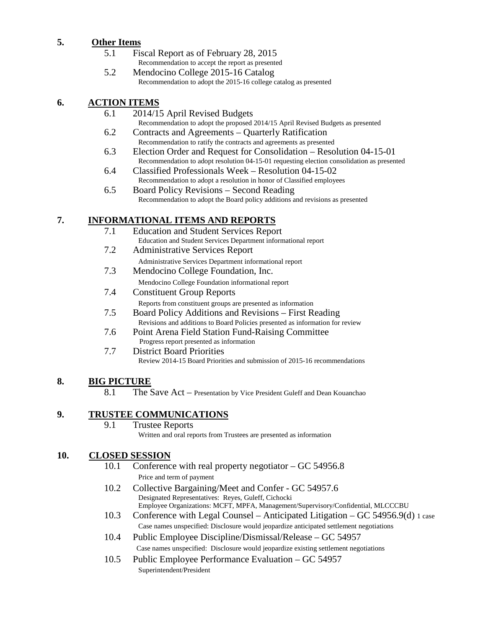## **5. Other Items**

- 5.1 Fiscal Report as of February 28, 2015 Recommendation to accept the report as presented
- 5.2 Mendocino College 2015-16 Catalog<br>Recommendation to adopt the 2015-16 college catalog as presented

## **6. ACTION ITEMS**

- 6.1 2014/15 April Revised Budgets Recommendation to adopt the proposed 2014/15 April Revised Budgets as presented
- 6.2 Contracts and Agreements Quarterly Ratification Recommendation to ratify the contracts and agreements as presented
- 6.3 Election Order and Request for Consolidation Resolution 04-15-01 Recommendation to adopt resolution 04-15-01 requesting election consolidation as presented
- 6.4 Classified Professionals Week Resolution 04-15-02 Recommendation to adopt a resolution in honor of Classified employees
- 6.5 Board Policy Revisions Second Reading Recommendation to adopt the Board policy additions and revisions as presented

## **7. INFORMATIONAL ITEMS AND REPORTS**

- 7.1 Education and Student Services Report Education and Student Services Department informational report
- 7.2 Administrative Services Report
	- Administrative Services Department informational report
- 7.3 Mendocino College Foundation, Inc. Mendocino College Foundation informational report
- 7.4 Constituent Group Reports Reports from constituent groups are presented as information
- 7.5 Board Policy Additions and Revisions First Reading Revisions and additions to Board Policies presented as information for review
- 7.6 Point Arena Field Station Fund-Raising Committee Progress report presented as information
- 7.7 District Board Priorities Review 2014-15 Board Priorities and submission of 2015-16 recommendations

# **8. BIG PICTURE**

8.1 The Save Act – Presentation by Vice President Guleff and Dean Kouanchao

# **9. TRUSTEE COMMUNICATIONS**

9.1 Trustee Reports Written and oral reports from Trustees are presented as information

## **10. CLOSED SESSION**

- 10.1 Conference with real property negotiator GC 54956.8 Price and term of payment
- 10.2 Collective Bargaining/Meet and Confer GC 54957.6 Designated Representatives: Reyes, Guleff, Cichocki Employee Organizations: MCFT, MPFA, Management/Supervisory/Confidential, MLCCCBU
- 10.3 Conference with Legal Counsel Anticipated Litigation GC 54956.9(d) 1 case Case names unspecified: Disclosure would jeopardize anticipated settlement negotiations
- 10.4 Public Employee Discipline/Dismissal/Release GC 54957 Case names unspecified: Disclosure would jeopardize existing settlement negotiations
- 10.5 Public Employee Performance Evaluation GC 54957 Superintendent/President